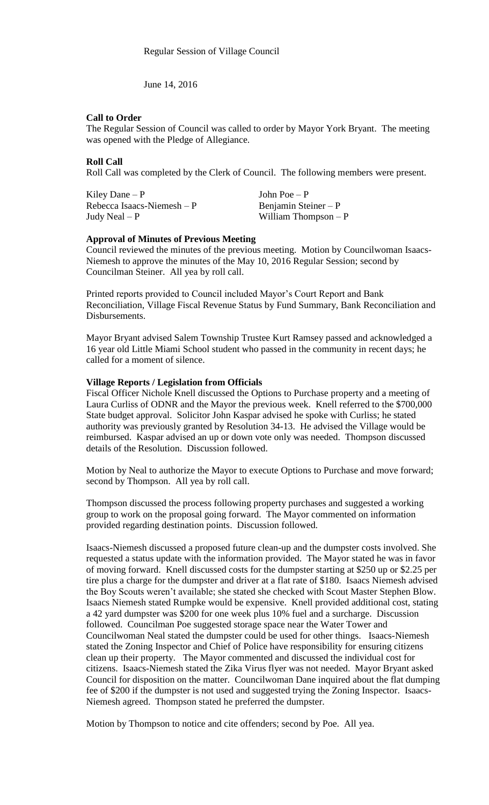June 14, 2016

### **Call to Order**

The Regular Session of Council was called to order by Mayor York Bryant. The meeting was opened with the Pledge of Allegiance.

## **Roll Call**

Roll Call was completed by the Clerk of Council. The following members were present.

Kiley Dane – P  $\qquad \qquad$  John Poe – P  $Rebecca Isaacs-Niemesh - P$  Benjamin Steiner – P Judy Neal – P William Thompson – P

### **Approval of Minutes of Previous Meeting**

Council reviewed the minutes of the previous meeting. Motion by Councilwoman Isaacs-Niemesh to approve the minutes of the May 10, 2016 Regular Session; second by Councilman Steiner. All yea by roll call.

Printed reports provided to Council included Mayor's Court Report and Bank Reconciliation, Village Fiscal Revenue Status by Fund Summary, Bank Reconciliation and Disbursements.

Mayor Bryant advised Salem Township Trustee Kurt Ramsey passed and acknowledged a 16 year old Little Miami School student who passed in the community in recent days; he called for a moment of silence.

### **Village Reports / Legislation from Officials**

Fiscal Officer Nichole Knell discussed the Options to Purchase property and a meeting of Laura Curliss of ODNR and the Mayor the previous week. Knell referred to the \$700,000 State budget approval. Solicitor John Kaspar advised he spoke with Curliss; he stated authority was previously granted by Resolution 34-13. He advised the Village would be reimbursed. Kaspar advised an up or down vote only was needed. Thompson discussed details of the Resolution. Discussion followed.

Motion by Neal to authorize the Mayor to execute Options to Purchase and move forward; second by Thompson. All yea by roll call.

Thompson discussed the process following property purchases and suggested a working group to work on the proposal going forward. The Mayor commented on information provided regarding destination points. Discussion followed.

Isaacs-Niemesh discussed a proposed future clean-up and the dumpster costs involved. She requested a status update with the information provided. The Mayor stated he was in favor of moving forward. Knell discussed costs for the dumpster starting at \$250 up or \$2.25 per tire plus a charge for the dumpster and driver at a flat rate of \$180. Isaacs Niemesh advised the Boy Scouts weren't available; she stated she checked with Scout Master Stephen Blow. Isaacs Niemesh stated Rumpke would be expensive. Knell provided additional cost, stating a 42 yard dumpster was \$200 for one week plus 10% fuel and a surcharge. Discussion followed. Councilman Poe suggested storage space near the Water Tower and Councilwoman Neal stated the dumpster could be used for other things. Isaacs-Niemesh stated the Zoning Inspector and Chief of Police have responsibility for ensuring citizens clean up their property. The Mayor commented and discussed the individual cost for citizens. Isaacs-Niemesh stated the Zika Virus flyer was not needed. Mayor Bryant asked Council for disposition on the matter. Councilwoman Dane inquired about the flat dumping fee of \$200 if the dumpster is not used and suggested trying the Zoning Inspector. Isaacs-Niemesh agreed. Thompson stated he preferred the dumpster.

Motion by Thompson to notice and cite offenders; second by Poe. All yea.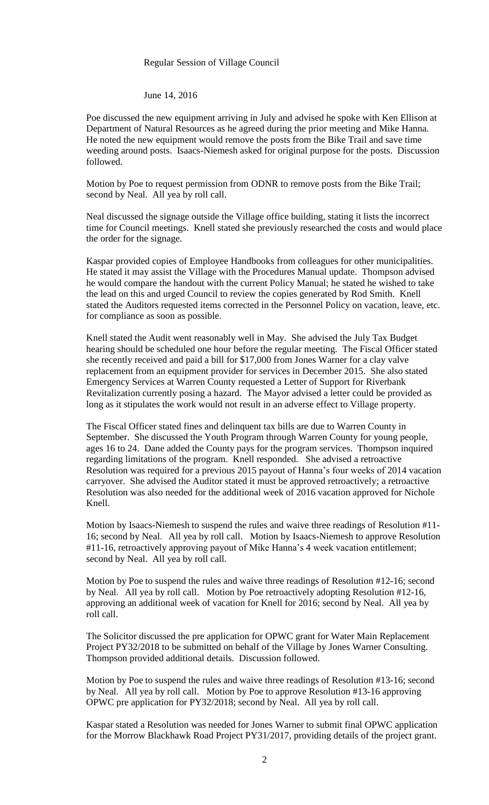#### Regular Session of Village Council

June 14, 2016

Poe discussed the new equipment arriving in July and advised he spoke with Ken Ellison at Department of Natural Resources as he agreed during the prior meeting and Mike Hanna. He noted the new equipment would remove the posts from the Bike Trail and save time weeding around posts. Isaacs-Niemesh asked for original purpose for the posts. Discussion followed.

Motion by Poe to request permission from ODNR to remove posts from the Bike Trail; second by Neal. All yea by roll call.

Neal discussed the signage outside the Village office building, stating it lists the incorrect time for Council meetings. Knell stated she previously researched the costs and would place the order for the signage.

Kaspar provided copies of Employee Handbooks from colleagues for other municipalities. He stated it may assist the Village with the Procedures Manual update. Thompson advised he would compare the handout with the current Policy Manual; he stated he wished to take the lead on this and urged Council to review the copies generated by Rod Smith. Knell stated the Auditors requested items corrected in the Personnel Policy on vacation, leave, etc. for compliance as soon as possible.

Knell stated the Audit went reasonably well in May. She advised the July Tax Budget hearing should be scheduled one hour before the regular meeting. The Fiscal Officer stated she recently received and paid a bill for \$17,000 from Jones Warner for a clay valve replacement from an equipment provider for services in December 2015. She also stated Emergency Services at Warren County requested a Letter of Support for Riverbank Revitalization currently posing a hazard. The Mayor advised a letter could be provided as long as it stipulates the work would not result in an adverse effect to Village property.

The Fiscal Officer stated fines and delinquent tax bills are due to Warren County in September. She discussed the Youth Program through Warren County for young people, ages 16 to 24. Dane added the County pays for the program services. Thompson inquired regarding limitations of the program. Knell responded. She advised a retroactive Resolution was required for a previous 2015 payout of Hanna's four weeks of 2014 vacation carryover. She advised the Auditor stated it must be approved retroactively; a retroactive Resolution was also needed for the additional week of 2016 vacation approved for Nichole Knell.

Motion by Isaacs-Niemesh to suspend the rules and waive three readings of Resolution #11- 16; second by Neal. All yea by roll call. Motion by Isaacs-Niemesh to approve Resolution #11-16, retroactively approving payout of Mike Hanna's 4 week vacation entitlement; second by Neal. All yea by roll call.

Motion by Poe to suspend the rules and waive three readings of Resolution #12-16; second by Neal. All yea by roll call. Motion by Poe retroactively adopting Resolution #12-16, approving an additional week of vacation for Knell for 2016; second by Neal. All yea by roll call.

The Solicitor discussed the pre application for OPWC grant for Water Main Replacement Project PY32/2018 to be submitted on behalf of the Village by Jones Warner Consulting. Thompson provided additional details. Discussion followed.

Motion by Poe to suspend the rules and waive three readings of Resolution #13-16; second by Neal. All yea by roll call. Motion by Poe to approve Resolution #13-16 approving OPWC pre application for PY32/2018; second by Neal. All yea by roll call.

Kaspar stated a Resolution was needed for Jones Warner to submit final OPWC application for the Morrow Blackhawk Road Project PY31/2017, providing details of the project grant.